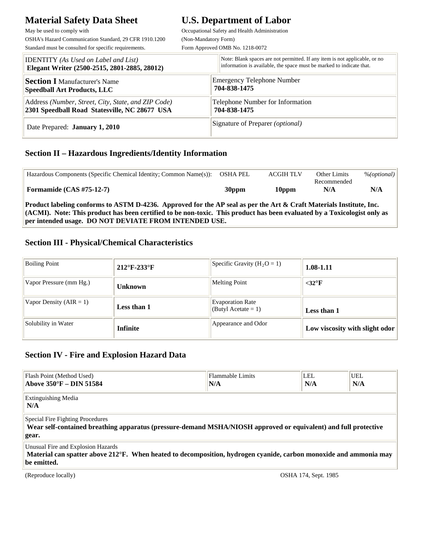# **Material Safety Data Sheet U.S. Department of Labor**

May be used to comply with Cocupational Safety and Health Administration OSHA's Hazard Communication Standard, 29 CFR 1910.1200 (Non-Mandatory Form)

Standard must be consulted for specific requirements. Form Approved OMB No. 1218-0072

| <b>IDENTITY</b> (As Used on Label and List)         | Note: Blank spaces are not permitted. If any item is not applicable, or no |
|-----------------------------------------------------|----------------------------------------------------------------------------|
| Elegant Writer (2500-2515, 2801-2885, 28012)        | information is available, the space must be marked to indicate that.       |
| <b>Section I</b> Manufacturer's Name                | <b>Emergency Telephone Number</b>                                          |
| <b>Speedball Art Products, LLC</b>                  | 704-838-1475                                                               |
| Address (Number, Street, City, State, and ZIP Code) | Telephone Number for Information                                           |
| 2301 Speedball Road Statesville, NC 28677 USA       | 704-838-1475                                                               |
| Date Prepared: <b>January 1, 2010</b>               | Signature of Preparer <i>(optional)</i>                                    |

#### **Section II – Hazardous Ingredients/Identity Information**

**per intended usage. DO NOT DEVIATE FROM INTENDED USE.** 

| Hazardous Components (Specific Chemical Identity; Common Name(s)):                                                           | OSHA PEL          | <b>ACGIH TLV</b>  | <b>Other Limits</b> | % (optional) |  |
|------------------------------------------------------------------------------------------------------------------------------|-------------------|-------------------|---------------------|--------------|--|
|                                                                                                                              |                   |                   | Recommended         |              |  |
| Formamide $(CAS #75-12-7)$                                                                                                   | 30 <sub>ppm</sub> | 10 <sub>ppm</sub> | N/A                 | N/A          |  |
| Product labeling conforms to ASTM D-4236. Approved for the AP seal as per the Art & Craft Materials Institute, Inc.          |                   |                   |                     |              |  |
| $ $ (ACMI). Note: This product has been certified to be non-toxic. This product has been evaluated by a Toxicologist only as |                   |                   |                     |              |  |

#### **Section III - Physical/Chemical Characteristics**

| <b>Boiling Point</b>        | $212^{\circ}$ F-233 $^{\circ}$ F | Specific Gravity $(H_2O = 1)$                     | 1.08-1.11                      |
|-----------------------------|----------------------------------|---------------------------------------------------|--------------------------------|
| Vapor Pressure (mm Hg.)     | <b>Unknown</b>                   | <b>Melting Point</b>                              | $<$ 32 $\mathrm{P}$ F          |
| Vapor Density ( $AIR = 1$ ) | Less than 1                      | <b>Evaporation Rate</b><br>(Butyl Acetate $= 1$ ) | Less than 1                    |
| Solubility in Water         | <b>Infinite</b>                  | Appearance and Odor                               | Low viscosity with slight odor |

#### **Section IV - Fire and Explosion Hazard Data**

| Flash Point (Method Used)<br>  Above 350°F – DIN 51584                                                                                                                 | Flammable Limits<br> N/A | LEL.<br>N/A | <b>UEL</b><br>N/A |  |
|------------------------------------------------------------------------------------------------------------------------------------------------------------------------|--------------------------|-------------|-------------------|--|
| Extinguishing Media<br>N/A                                                                                                                                             |                          |             |                   |  |
| <b>Special Fire Fighting Procedures</b><br>Wear self-contained breathing apparatus (pressure-demand MSHA/NIOSH approved or equivalent) and full protective<br>gear.    |                          |             |                   |  |
| Unusual Fire and Explosion Hazards<br>Material can spatter above 212°F. When heated to decomposition, hydrogen cyanide, carbon monoxide and ammonia may<br>be emitted. |                          |             |                   |  |